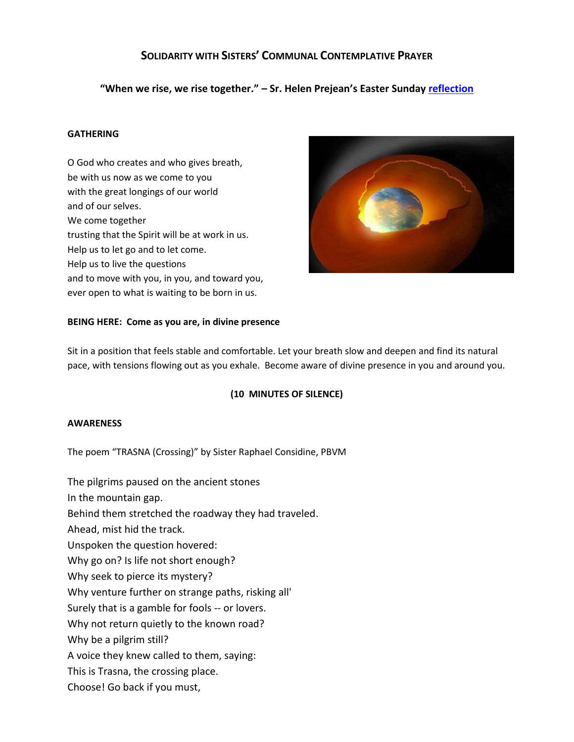# **SOLIDARITY WITH SISTERS' COMMUNAL CONTEMPLATIVE PRAYER**

**"When we rise, we rise together." – Sr. Helen Prejean's Easter Sunday [reflection](https://www.catholicwomenpreach.org/preaching/04122020)**

## **GATHERING**

O God who creates and who gives breath, be with us now as we come to you with the great longings of our world and of our selves. We come together trusting that the Spirit will be at work in us. Help us to let go and to let come. Help us to live the questions and to move with you, in you, and toward you, ever open to what is waiting to be born in us.



#### **BEING HERE: Come as you are, in divine presence**

Sit in a position that feels stable and comfortable. Let your breath slow and deepen and find its natural pace, with tensions flowing out as you exhale. Become aware of divine presence in you and around you.

## **(10 MINUTES OF SILENCE)**

#### **AWARENESS**

The poem "TRASNA (Crossing)" by Sister Raphael Considine, PBVM

The pilgrims paused on the ancient stones In the mountain gap. Behind them stretched the roadway they had traveled. Ahead, mist hid the track. Unspoken the question hovered: Why go on? Is life not short enough? Why seek to pierce its mystery? Why venture further on strange paths, risking all' Surely that is a gamble for fools -- or lovers. Why not return quietly to the known road? Why be a pilgrim still? A voice they knew called to them, saying: This is Trasna, the crossing place. Choose! Go back if you must,